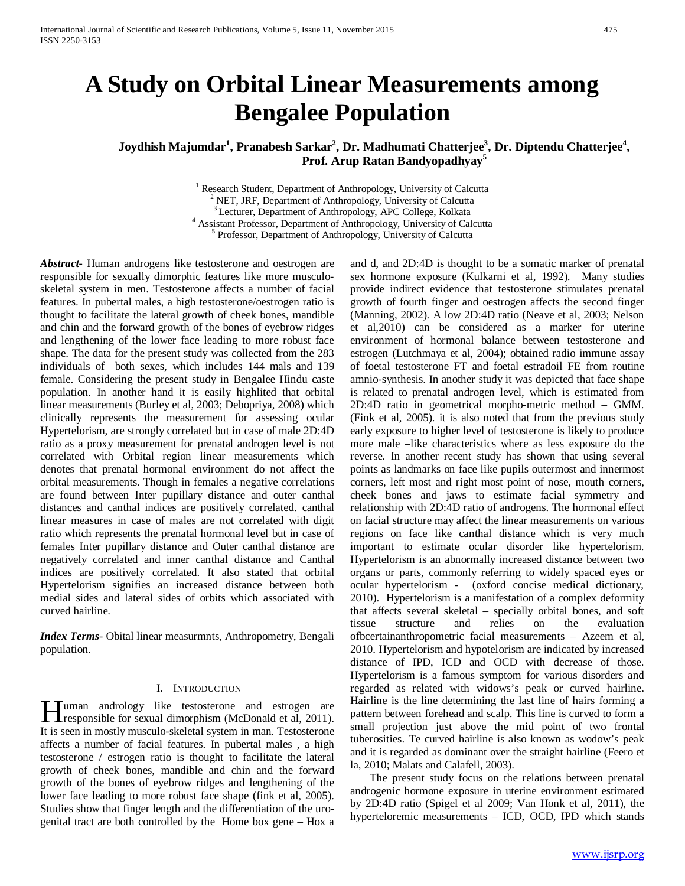# **A Study on Orbital Linear Measurements among Bengalee Population**

# $J$ oydhish Majumdar<sup>1</sup>, Pranabesh Sarkar<sup>2</sup>, Dr. Madhumati Chatterjee<sup>3</sup>, Dr. Diptendu Chatterjee<sup>4</sup>, **Prof. Arup Ratan Bandyopadhyay<sup>5</sup>**

<sup>1</sup> Research Student, Department of Anthropology, University of Calcutta <sup>2</sup> NET, JRF, Department of Anthropology, University of Calcutta <sup>3</sup> Lecturer, Department of Anthropology, APC College, Kolkata  $4$  Assistant Professor, Department of Anthropology, University of Calcutta  $5$  Professor, Department of Anthropology, University of Calcutta

*Abstract***-** Human androgens like testosterone and oestrogen are responsible for sexually dimorphic features like more musculoskeletal system in men. Testosterone affects a number of facial features. In pubertal males, a high testosterone/oestrogen ratio is thought to facilitate the lateral growth of cheek bones, mandible and chin and the forward growth of the bones of eyebrow ridges and lengthening of the lower face leading to more robust face shape. The data for the present study was collected from the 283 individuals of both sexes, which includes 144 mals and 139 female. Considering the present study in Bengalee Hindu caste population. In another hand it is easily highlited that orbital linear measurements (Burley et al, 2003; Debopriya, 2008) which clinically represents the measurement for assessing ocular Hypertelorism, are strongly correlated but in case of male 2D:4D ratio as a proxy measurement for prenatal androgen level is not correlated with Orbital region linear measurements which denotes that prenatal hormonal environment do not affect the orbital measurements. Though in females a negative correlations are found between Inter pupillary distance and outer canthal distances and canthal indices are positively correlated. canthal linear measures in case of males are not correlated with digit ratio which represents the prenatal hormonal level but in case of females Inter pupillary distance and Outer canthal distance are negatively correlated and inner canthal distance and Canthal indices are positively correlated. It also stated that orbital Hypertelorism signifies an increased distance between both medial sides and lateral sides of orbits which associated with curved hairline.

*Index Terms*- Obital linear measurmnts, Anthropometry, Bengali population.

#### I. INTRODUCTION

**I uman** andrology like testosterone and estrogen are **H**uman andrology like testosterone and estrogen are responsible for sexual dimorphism (McDonald et al, 2011). It is seen in mostly musculo-skeletal system in man. Testosterone affects a number of facial features. In pubertal males , a high testosterone / estrogen ratio is thought to facilitate the lateral growth of cheek bones, mandible and chin and the forward growth of the bones of eyebrow ridges and lengthening of the lower face leading to more robust face shape (fink et al, 2005). Studies show that finger length and the differentiation of the urogenital tract are both controlled by the Home box gene – Hox a

and d, and 2D:4D is thought to be a somatic marker of prenatal sex hormone exposure (Kulkarni et al, 1992). Many studies provide indirect evidence that testosterone stimulates prenatal growth of fourth finger and oestrogen affects the second finger (Manning, 2002). A low 2D:4D ratio (Neave et al, 2003; Nelson et al,2010) can be considered as a marker for uterine environment of hormonal balance between testosterone and estrogen (Lutchmaya et al, 2004); obtained radio immune assay of foetal testosterone FT and foetal estradoil FE from routine amnio-synthesis. In another study it was depicted that face shape is related to prenatal androgen level, which is estimated from 2D:4D ratio in geometrical morpho-metric method – GMM. (Fink et al, 2005). it is also noted that from the previous study early exposure to higher level of testosterone is likely to produce more male –like characteristics where as less exposure do the reverse. In another recent study has shown that using several points as landmarks on face like pupils outermost and innermost corners, left most and right most point of nose, mouth corners, cheek bones and jaws to estimate facial symmetry and relationship with 2D:4D ratio of androgens. The hormonal effect on facial structure may affect the linear measurements on various regions on face like canthal distance which is very much important to estimate ocular disorder like hypertelorism. Hypertelorism is an abnormally increased distance between two organs or parts, commonly referring to widely spaced eyes or ocular hypertelorism - (oxford concise medical dictionary, 2010). Hypertelorism is a manifestation of a complex deformity that affects several skeletal – specially orbital bones, and soft tissue structure and relies on the evaluation ofbcertainanthropometric facial measurements – Azeem et al, 2010. Hypertelorism and hypotelorism are indicated by increased distance of IPD, ICD and OCD with decrease of those. Hypertelorism is a famous symptom for various disorders and regarded as related with widows's peak or curved hairline. Hairline is the line determining the last line of hairs forming a pattern between forehead and scalp. This line is curved to form a small projection just above the mid point of two frontal tuberosities. Te curved hairline is also known as wodow's peak and it is regarded as dominant over the straight hairline (Feero et la, 2010; Malats and Calafell, 2003).

 The present study focus on the relations between prenatal androgenic hormone exposure in uterine environment estimated by 2D:4D ratio (Spigel et al 2009; Van Honk et al, 2011), the hyperteloremic measurements – ICD, OCD, IPD which stands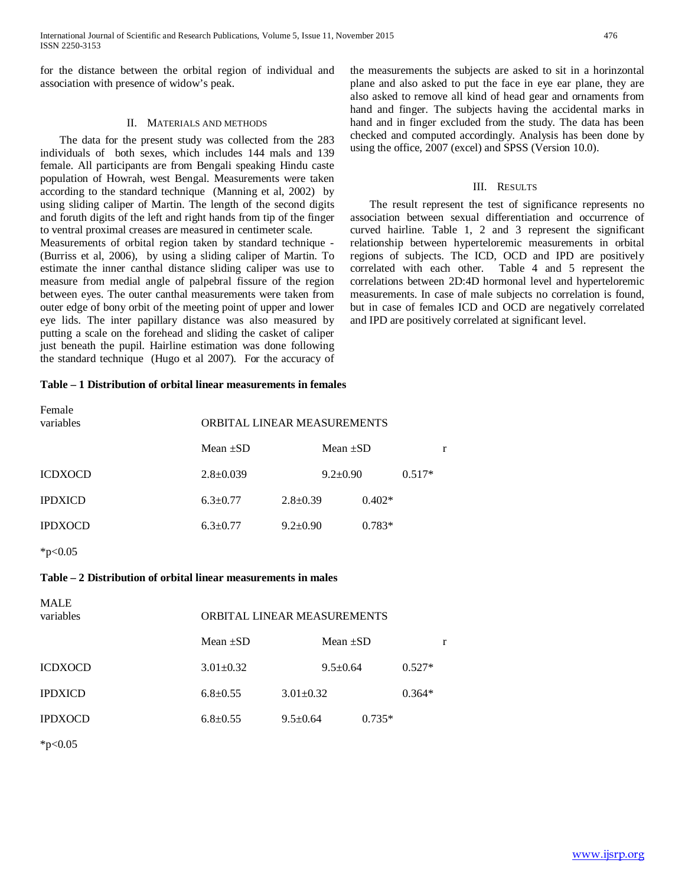for the distance between the orbital region of individual and association with presence of widow's peak.

#### II. MATERIALS AND METHODS

 The data for the present study was collected from the 283 individuals of both sexes, which includes 144 mals and 139 female. All participants are from Bengali speaking Hindu caste population of Howrah, west Bengal. Measurements were taken according to the standard technique (Manning et al, 2002) by using sliding caliper of Martin. The length of the second digits and foruth digits of the left and right hands from tip of the finger to ventral proximal creases are measured in centimeter scale. Measurements of orbital region taken by standard technique - (Burriss et al, 2006), by using a sliding caliper of Martin. To estimate the inner canthal distance sliding caliper was use to measure from medial angle of palpebral fissure of the region between eyes. The outer canthal measurements were taken from

outer edge of bony orbit of the meeting point of upper and lower eye lids. The inter papillary distance was also measured by putting a scale on the forehead and sliding the casket of caliper just beneath the pupil. Hairline estimation was done following the standard technique (Hugo et al 2007). For the accuracy of

#### **Table – 1 Distribution of orbital linear measurements in females**

| Female<br>variables | ORBITAL LINEAR MEASUREMENTS |                |          |          |   |
|---------------------|-----------------------------|----------------|----------|----------|---|
|                     | Mean $\pm SD$               | Mean $\pm SD$  |          |          | r |
| ICDXOCD             | $2.8 \pm 0.039$             | $9.2 \pm 0.90$ |          | $0.517*$ |   |
| IPDXICD             | $6.3 \pm 0.77$              | $2.8 \pm 0.39$ | $0.402*$ |          |   |
| IPDXOCD             | $6.3 \pm 0.77$              | $9.2 \pm 0.90$ | $0.783*$ |          |   |

 $*p<0.05$ 

# **Table – 2 Distribution of orbital linear measurements in males**

| <b>MALE</b><br>variables | ORBITAL LINEAR MEASUREMENTS |                 |                |          |          |   |
|--------------------------|-----------------------------|-----------------|----------------|----------|----------|---|
|                          | Mean $\pm SD$               |                 | Mean $\pm SD$  |          |          | r |
| <b>ICDXOCD</b>           | $3.01 \pm 0.32$             |                 | $9.5 \pm 0.64$ |          | $0.527*$ |   |
| <b>IPDXICD</b>           | $6.8 \pm 0.55$              | $3.01 \pm 0.32$ |                |          | $0.364*$ |   |
| <b>IPDXOCD</b>           | $6.8 \pm 0.55$              | $9.5 \pm 0.64$  |                | $0.735*$ |          |   |

 $*p<0.05$ 

#### III. RESULTS

 The result represent the test of significance represents no association between sexual differentiation and occurrence of curved hairline. Table 1, 2 and 3 represent the significant relationship between hyperteloremic measurements in orbital regions of subjects. The ICD, OCD and IPD are positively correlated with each other. Table 4 and 5 represent the correlations between 2D:4D hormonal level and hyperteloremic measurements. In case of male subjects no correlation is found, but in case of females ICD and OCD are negatively correlated and IPD are positively correlated at significant level.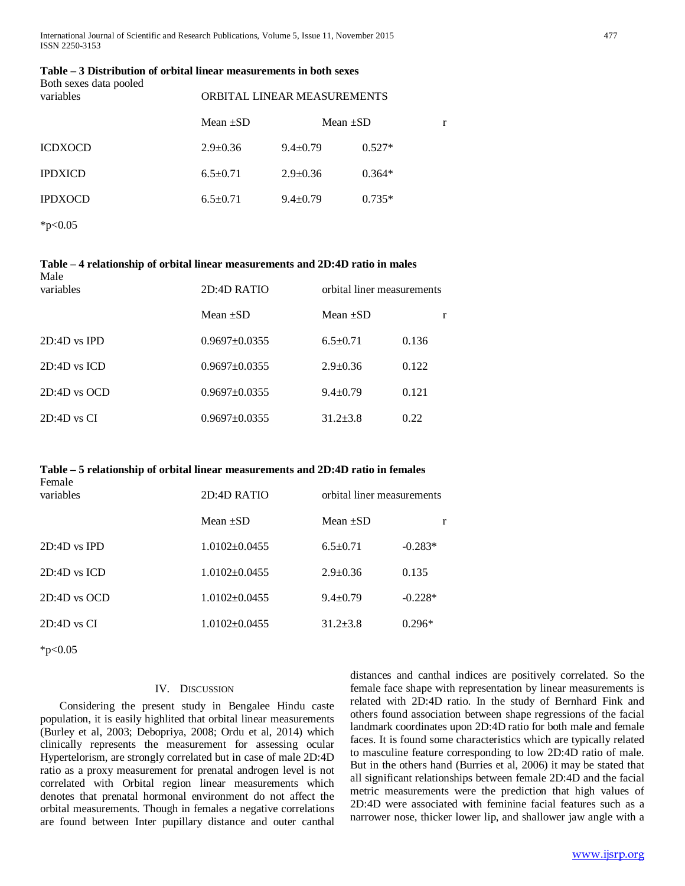#### **Table – 3 Distribution of orbital linear measurements in both sexes** Both sexes data pooled

| variables      | ORBITAL LINEAR MEASUREMENTS |                |          |   |
|----------------|-----------------------------|----------------|----------|---|
|                | Mean $\pm SD$               | Mean $\pm SD$  |          | r |
| <b>ICDXOCD</b> | $2.9 \pm 0.36$              | $9.4 \pm 0.79$ | $0.527*$ |   |
| <b>IPDXICD</b> | $6.5 \pm 0.71$              | $2.9 \pm 0.36$ | $0.364*$ |   |
| <b>IPDXOCD</b> | $6.5 \pm 0.71$              | $9.4 \pm 0.79$ | $0.735*$ |   |
|                |                             |                |          |   |

 $*p<0.05$ 

#### **Table – 4 relationship of orbital linear measurements and 2D:4D ratio in males** Male

| $\cdots$<br>variables | 2D:4D RATIO       | orbital liner measurements |       |
|-----------------------|-------------------|----------------------------|-------|
|                       | Mean $\pm SD$     | Mean $\pm SD$              |       |
| $2D:4D$ vs IPD        | $0.9697 + 0.0355$ | $6.5+0.71$                 | 0.136 |
| $2D:4D$ vs $ICD$      | $0.9697 + 0.0355$ | $2.9 \pm 0.36$             | 0.122 |
| $2D:4D$ vs $OCD$      | $0.9697 + 0.0355$ | $9.4 \pm 0.79$             | 0.121 |
| $2D:4D$ vs CI         | $0.9697 + 0.0355$ | $31.2 + 3.8$               | 0.22  |

# **Table – 5 relationship of orbital linear measurements and 2D:4D ratio in females**

| Female<br>variables | 2D:4D RATIO         | orbital liner measurements |           |
|---------------------|---------------------|----------------------------|-----------|
|                     | Mean $\pm SD$       | Mean $\pm SD$              | r         |
| $2D:4D$ vs IPD      | $1.0102 + 0.0455$   | $6.5+0.71$                 | $-0.283*$ |
| $2D:4D$ vs $ICD$    | $1.0102 \pm 0.0455$ | $2.9 \pm 0.36$             | 0.135     |
| $2D:4D$ vs $OCD$    | $1.0102 \pm 0.0455$ | $9.4 \pm 0.79$             | $-0.228*$ |
| $2D:4D$ vs $CI$     | $1.0102 + 0.0455$   | $31.2 + 3.8$               | $0.296*$  |

 $*p<0.05$ 

# IV. DISCUSSION

 Considering the present study in Bengalee Hindu caste population, it is easily highlited that orbital linear measurements (Burley et al, 2003; Debopriya, 2008; Ordu et al, 2014) which clinically represents the measurement for assessing ocular Hypertelorism, are strongly correlated but in case of male 2D:4D ratio as a proxy measurement for prenatal androgen level is not correlated with Orbital region linear measurements which denotes that prenatal hormonal environment do not affect the orbital measurements. Though in females a negative correlations are found between Inter pupillary distance and outer canthal

distances and canthal indices are positively correlated. So the female face shape with representation by linear measurements is related with 2D:4D ratio. In the study of Bernhard Fink and others found association between shape regressions of the facial landmark coordinates upon 2D:4D ratio for both male and female faces. It is found some characteristics which are typically related to masculine feature corresponding to low 2D:4D ratio of male. But in the others hand (Burries et al, 2006) it may be stated that all significant relationships between female 2D:4D and the facial metric measurements were the prediction that high values of 2D:4D were associated with feminine facial features such as a narrower nose, thicker lower lip, and shallower jaw angle with a